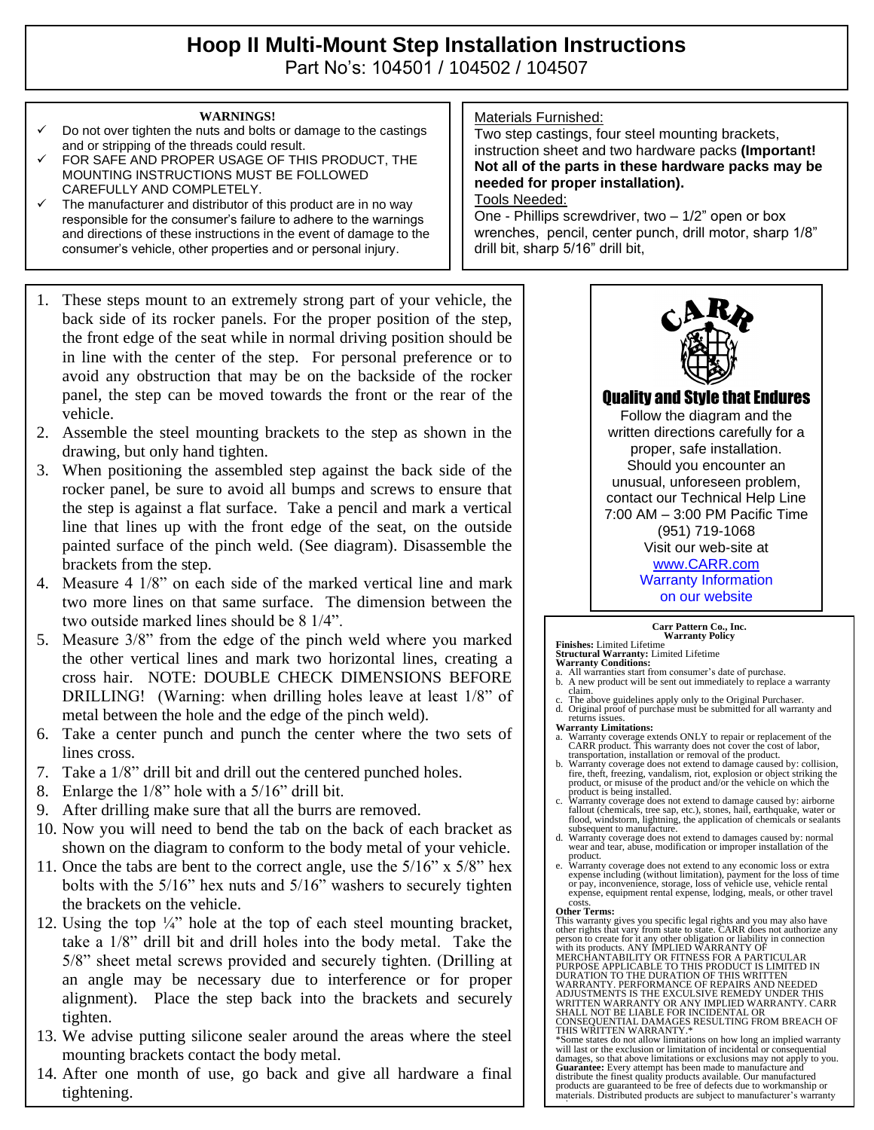# **Hoop II Multi-Mount Step Installation Instructions**  Part No's: 104501 / 104502 / 104507

#### **WARNINGS!**

- Do not over tighten the nuts and bolts or damage to the castings and or stripping of the threads could result.
- FOR SAFE AND PROPER USAGE OF THIS PRODUCT, THE MOUNTING INSTRUCTIONS MUST BE FOLLOWED CAREFULLY AND COMPLETELY.
- The manufacturer and distributor of this product are in no way responsible for the consumer's failure to adhere to the warnings and directions of these instructions in the event of damage to the consumer's vehicle, other properties and or personal injury.
- 1. These steps mount to an extremely strong part of your vehicle, the back side of its rocker panels. For the proper position of the step, the front edge of the seat while in normal driving position should be in line with the center of the step. For personal preference or to avoid any obstruction that may be on the backside of the rocker panel, the step can be moved towards the front or the rear of the vehicle.
- 2. Assemble the steel mounting brackets to the step as shown in the drawing, but only hand tighten.
- 3. When positioning the assembled step against the back side of the rocker panel, be sure to avoid all bumps and screws to ensure that the step is against a flat surface. Take a pencil and mark a vertical line that lines up with the front edge of the seat, on the outside painted surface of the pinch weld. (See diagram). Disassemble the brackets from the step.
- 4. Measure 4 1/8" on each side of the marked vertical line and mark two more lines on that same surface. The dimension between the two outside marked lines should be 8 1/4".
- 5. Measure 3/8" from the edge of the pinch weld where you marked the other vertical lines and mark two horizontal lines, creating a cross hair. NOTE: DOUBLE CHECK DIMENSIONS BEFORE DRILLING! (Warning: when drilling holes leave at least 1/8" of metal between the hole and the edge of the pinch weld).
- 6. Take a center punch and punch the center where the two sets of lines cross.
- 7. Take a 1/8" drill bit and drill out the centered punched holes.
- 8. Enlarge the 1/8" hole with a 5/16" drill bit.
- 9. After drilling make sure that all the burrs are removed.
- 10. Now you will need to bend the tab on the back of each bracket as shown on the diagram to conform to the body metal of your vehicle.
- 11. Once the tabs are bent to the correct angle, use the 5/16" x 5/8" hex bolts with the 5/16" hex nuts and 5/16" washers to securely tighten the brackets on the vehicle.
- 12. Using the top  $\frac{1}{4}$  hole at the top of each steel mounting bracket, take a 1/8" drill bit and drill holes into the body metal. Take the 5/8" sheet metal screws provided and securely tighten. (Drilling at an angle may be necessary due to interference or for proper alignment). Place the step back into the brackets and securely tighten.
- 13. We advise putting silicone sealer around the areas where the steel mounting brackets contact the body metal.
- 14. After one month of use, go back and give all hardware a final tightening.

### Materials Furnished:

Two step castings, four steel mounting brackets, instruction sheet and two hardware packs **(Important! Not all of the parts in these hardware packs may be needed for proper installation).**

### Tools Needed:

One - Phillips screwdriver, two – 1/2" open or box wrenches, pencil, center punch, drill motor, sharp 1/8" drill bit, sharp 5/16" drill bit,



# Quality and Style that Endures

Follow the diagram and the written directions carefully for a proper, safe installation. Should you encounter an unusual, unforeseen problem, contact our Technical Help Line 7:00 AM – 3:00 PM Pacific Time (951) 719-1068 Visit our web-site at [www.CARR.com](http://www.carr.com/) Warranty Information on our website

## . **Carr Pattern Co., Inc. Warranty Policy**

**Finishes:** Limited Lifetime **Structural Warranty:** Limited Lifetime

- **Warranty Conditions:** a. All warranties start from consumer's date of purchase. b. A new product will be sent out immediately to replace a warranty
- claim. The above guidelines apply only to the Original Purchaser.
- d. Original proof of purchase must be submitted for all warranty and returns issues.
- **Warranty Limitations:**
- a. Warranty coverage extends ONLY to repair or replacement of the CARR product. This warranty does not cover the cost of labor,
- transportation, installation or removal of the product. b. Warranty coverage does not extend to damage caused by: collision, fire, theft, freezing, vandalism, riot, explosion or object striking the product, or misuse of the product and/or the vehicle on which the product is being installed.
- c. Warranty coverage does not extend to damage caused by: airborne fallout (chemicals, tree sap, etc.), stones, hail, earthquake, water or flood, windstorm, lightning, the application of chemicals or sealants subsequent to manufacture.
- d. Warranty coverage does not extend to damages caused by: normal wear and tear, abuse, modification or improper installation of the
- product. e. Warranty coverage does not extend to any economic loss or extra expense including (without limitation), payment for the loss of time or pay, inconvenience, storage, loss of vehicle use, vehicle rental expense, equipment rental expense, lodging, meals, or other travel costs.

#### **Other Terms:**

This warranty gives you specific legal rights and you may also have<br>other rights that vary from state to state. CARR does not authorize any<br>person to create for it any other obligation or liability in connection<br>with its p

ADJUSTMENTS IS THE EXCULSIVE REMEDY UNDER THIS<br>WRITTEN WARRANTY OR ANY IMPLIED WARRANTY. CARR<br>SHALL NOT BE LIABLE FOR INCIDENTAL OR<br>CONSEQUENTIAL DAMAGES RESULTING FROM BREACH OF<br>THIS WRITTEN WARRANTY.\*

\*Some states do not allow limitations on how long an implied warranty will last or the exclusion or limitation of incidental or consequential damages, so that above limitations or exclusions may not apply to you. **Guarantee:** Every attempt has been made to manufacture and<br>distribute the finest quality products available. Our manufactured<br>products are guaranteed to be free of defects due to workmanship or<br>materials. Distributed prod